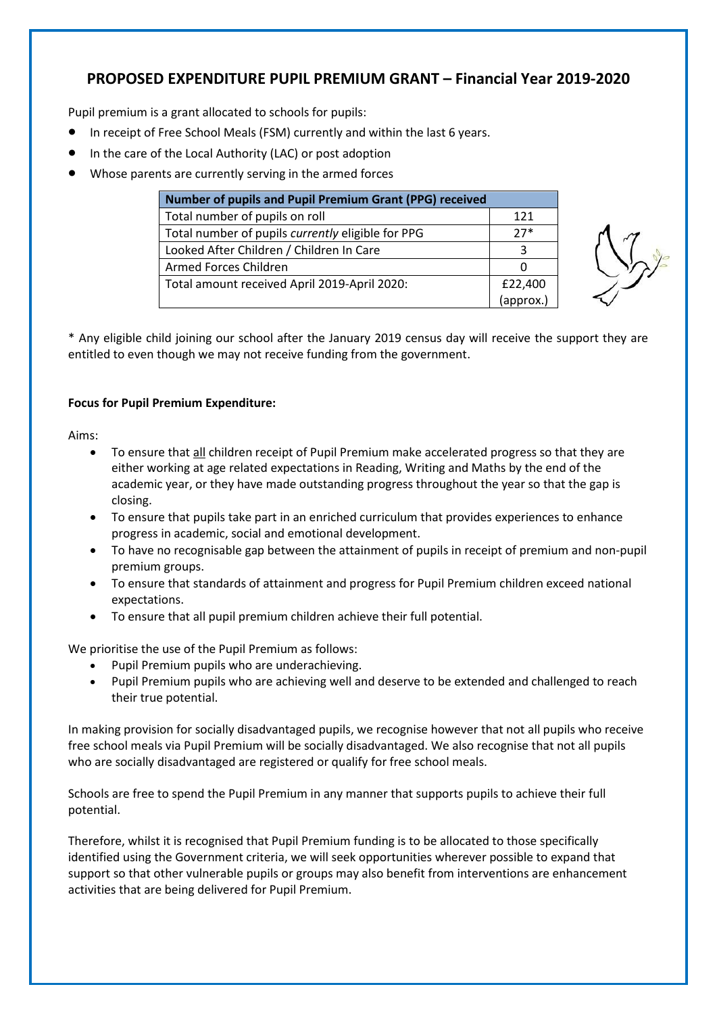## **PROPOSED EXPENDITURE PUPIL PREMIUM GRANT – Financial Year 2019-2020**

Pupil premium is a grant allocated to schools for pupils:

- In receipt of Free School Meals (FSM) currently and within the last 6 years.
- In the care of the Local Authority (LAC) or post adoption
- Whose parents are currently serving in the armed forces

| Number of pupils and Pupil Premium Grant (PPG) received |           |  |  |
|---------------------------------------------------------|-----------|--|--|
| Total number of pupils on roll                          | 121       |  |  |
| Total number of pupils currently eligible for PPG       | $27*$     |  |  |
| Looked After Children / Children In Care                | ₹         |  |  |
| Armed Forces Children                                   |           |  |  |
| Total amount received April 2019-April 2020:            | £22,400   |  |  |
|                                                         | (approx.) |  |  |



\* Any eligible child joining our school after the January 2019 census day will receive the support they are entitled to even though we may not receive funding from the government.

## **Focus for Pupil Premium Expenditure:**

Aims:

- To ensure that all children receipt of Pupil Premium make accelerated progress so that they are either working at age related expectations in Reading, Writing and Maths by the end of the academic year, or they have made outstanding progress throughout the year so that the gap is closing.
- To ensure that pupils take part in an enriched curriculum that provides experiences to enhance progress in academic, social and emotional development.
- To have no recognisable gap between the attainment of pupils in receipt of premium and non-pupil premium groups.
- To ensure that standards of attainment and progress for Pupil Premium children exceed national expectations.
- To ensure that all pupil premium children achieve their full potential.

We prioritise the use of the Pupil Premium as follows:

- Pupil Premium pupils who are underachieving.
- Pupil Premium pupils who are achieving well and deserve to be extended and challenged to reach their true potential.

In making provision for socially disadvantaged pupils, we recognise however that not all pupils who receive free school meals via Pupil Premium will be socially disadvantaged. We also recognise that not all pupils who are socially disadvantaged are registered or qualify for free school meals.

Schools are free to spend the Pupil Premium in any manner that supports pupils to achieve their full potential.

Therefore, whilst it is recognised that Pupil Premium funding is to be allocated to those specifically identified using the Government criteria, we will seek opportunities wherever possible to expand that support so that other vulnerable pupils or groups may also benefit from interventions are enhancement activities that are being delivered for Pupil Premium.